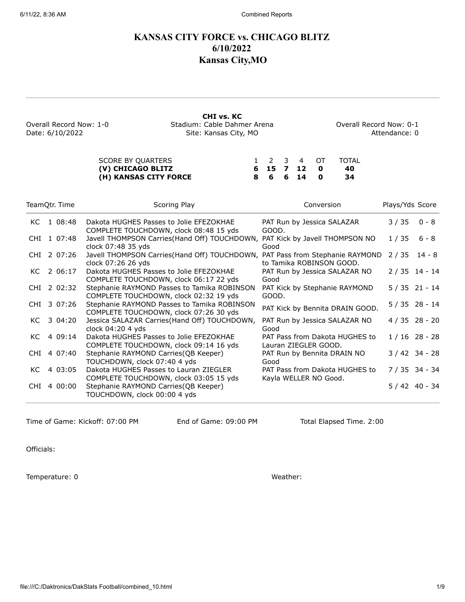# **KANSAS CITY FORCE vs. CHICAGO BLITZ 6/10/2022 Kansas City,MO**

**CHI vs. KC** Overall Record Now: 1-0 Stadium: Cable Dahmer Arena Overall Record Now: 0-1 Date: 6/10/2022 Site: Kansas City, MO **Attendance: 0** Attendance: 0

| SCORE BY QUARTERS     |  |             | 1 2 3 4 OT TOTAL |
|-----------------------|--|-------------|------------------|
| (V) CHICAGO BLITZ     |  | 6 15 7 12 0 | -40              |
| (H) KANSAS CITY FORCE |  | 8 6 6 14 0  | - 34             |

|     | TeamQtr. Time | Scoring Play                                                                                       | Conversion                                              | Plays/Yds Score |                  |
|-----|---------------|----------------------------------------------------------------------------------------------------|---------------------------------------------------------|-----------------|------------------|
| KC. | 1 08:48       | Dakota HUGHES Passes to Jolie EFEZOKHAE<br>COMPLETE TOUCHDOWN, clock 08:48 15 yds                  | PAT Run by Jessica SALAZAR<br>GOOD.                     | 3 / 35          | $0 - 8$          |
|     | CHI 1 07:48   | Javell THOMPSON Carries(Hand Off) TOUCHDOWN,<br>clock 07:48 35 yds                                 | PAT Kick by Javell THOMPSON NO<br>Good                  | 1 / 35          | $6 - 8$          |
|     | CHI 2 07:26   | Javell THOMPSON Carries(Hand Off) TOUCHDOWN, PAT Pass from Stephanie RAYMOND<br>clock 07:26 26 yds | to Tamika ROBINSON GOOD.                                | 2/35            | $14 - 8$         |
| KC. | 2 06:17       | Dakota HUGHES Passes to Jolie EFEZOKHAE<br>COMPLETE TOUCHDOWN, clock 06:17 22 yds                  | PAT Run by Jessica SALAZAR NO<br>Good                   | $2/35$ 14 - 14  |                  |
|     | CHI 2 02:32   | Stephanie RAYMOND Passes to Tamika ROBINSON<br>COMPLETE TOUCHDOWN, clock 02:32 19 yds              | PAT Kick by Stephanie RAYMOND<br>GOOD.                  | $5/35$ 21 - 14  |                  |
|     | CHI 3 07:26   | Stephanie RAYMOND Passes to Tamika ROBINSON<br>COMPLETE TOUCHDOWN, clock 07:26 30 yds              | PAT Kick by Bennita DRAIN GOOD.                         | $5/35$ 28 - 14  |                  |
| KC. | 3 04:20       | Jessica SALAZAR Carries(Hand Off) TOUCHDOWN,<br>clock 04:20 4 yds                                  | PAT Run by Jessica SALAZAR NO<br>Good                   | $4/35$ 28 - 20  |                  |
| KC. | 4 09:14       | Dakota HUGHES Passes to Jolie EFEZOKHAE<br>COMPLETE TOUCHDOWN, clock 09:14 16 yds                  | PAT Pass from Dakota HUGHES to<br>Lauran ZIEGLER GOOD.  | $1/16$ 28 - 28  |                  |
|     | CHI 4 07:40   | Stephanie RAYMOND Carries (QB Keeper)<br>TOUCHDOWN, clock 07:40 4 yds                              | PAT Run by Bennita DRAIN NO<br>Good                     |                 | $3 / 42 34 - 28$ |
| KC. | 4 03:05       | Dakota HUGHES Passes to Lauran ZIEGLER<br>COMPLETE TOUCHDOWN, clock 03:05 15 yds                   | PAT Pass from Dakota HUGHES to<br>Kayla WELLER NO Good. | $7/35$ 34 - 34  |                  |
| CHI | 4 00:00       | Stephanie RAYMOND Carries(QB Keeper)<br>TOUCHDOWN, clock 00:00 4 yds                               |                                                         | $5/42$ 40 - 34  |                  |

Time of Game: Kickoff: 07:00 PM End of Game: 09:00 PM Total Elapsed Time. 2:00

Officials:

Temperature: 0 Weather: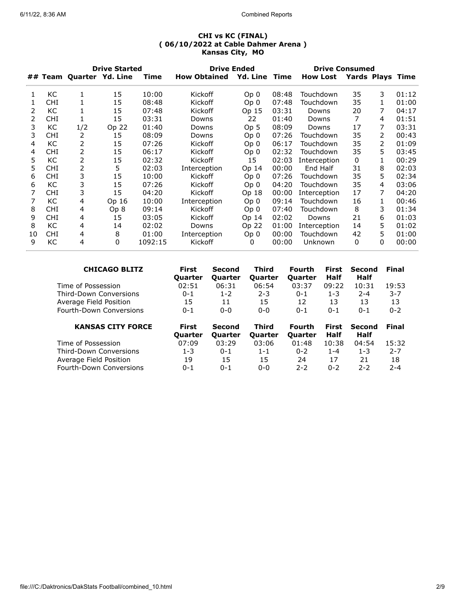| <b>Drive Started</b> |            |     | <b>Drive Ended</b>       | <b>Drive Consumed</b> |                     |                 |       |                 |                         |              |       |
|----------------------|------------|-----|--------------------------|-----------------------|---------------------|-----------------|-------|-----------------|-------------------------|--------------|-------|
|                      |            |     | ## Team Quarter Yd. Line | Time                  | <b>How Obtained</b> | Yd. Line Time   |       | <b>How Lost</b> | <b>Yards Plays Time</b> |              |       |
| 1                    | KC         | 1   | 15                       | 10:00                 | Kickoff             | Op <sub>0</sub> | 08:48 | Touchdown       | 35                      | 3            | 01:12 |
| 1                    | <b>CHI</b> |     | 15                       | 08:48                 | Kickoff             | Op 0            | 07:48 | Touchdown       | 35                      | 1            | 01:00 |
| 2                    | КC         |     | 15                       | 07:48                 | Kickoff             | Op 15           | 03:31 | Downs           | 20                      | 7            | 04:17 |
| 2                    | <b>CHI</b> | 1   | 15                       | 03:31                 | Downs               | 22              | 01:40 | Downs           | 7                       | 4            | 01:51 |
| 3                    | KC         | 1/2 | Op 22                    | 01:40                 | Downs               | Op 5            | 08:09 | Downs           | 17                      | 7            | 03:31 |
| 3                    | <b>CHI</b> | 2   | 15                       | 08:09                 | Downs               | Op <sub>0</sub> | 07:26 | Touchdown       | 35                      | 2            | 00:43 |
| 4                    | КC         | 2   | 15                       | 07:26                 | Kickoff             | Op 0            | 06:17 | Touchdown       | 35                      | 2            | 01:09 |
| 4                    | <b>CHI</b> | 2   | 15                       | 06:17                 | Kickoff             | Op 0            | 02:32 | Touchdown       | 35                      | 5            | 03:45 |
| 5                    | KC         | 2   | 15                       | 02:32                 | Kickoff             | 15              | 02:03 | Interception    | $\mathbf{0}$            | 1            | 00:29 |
| 5                    | <b>CHI</b> | 2   | 5                        | 02:03                 | Interception        | Op 14           | 00:00 | End Half        | 31                      | 8            | 02:03 |
| 6                    | <b>CHI</b> | 3   | 15                       | 10:00                 | Kickoff             | Op <sub>0</sub> | 07:26 | Touchdown       | 35                      | 5            | 02:34 |
| 6                    | KC         | 3   | 15                       | 07:26                 | Kickoff             | Op 0            | 04:20 | Touchdown       | 35                      | 4            | 03:06 |
|                      | <b>CHI</b> | 3   | 15                       | 04:20                 | Kickoff             | Op 18           | 00:00 | Interception    | 17                      | 7            | 04:20 |
|                      | КC         | 4   | Op 16                    | 10:00                 | Interception        | Op 0            | 09:14 | Touchdown       | 16                      | 1            | 00:46 |
| 8                    | <b>CHI</b> | 4   | Op 8                     | 09:14                 | Kickoff             | Op 0            | 07:40 | Touchdown       | 8                       | 3            | 01:34 |
| 9                    | <b>CHI</b> | 4   | 15                       | 03:05                 | Kickoff             | Op 14           | 02:02 | Downs           | 21                      | 6            | 01:03 |
| 8                    | КC         | 4   | 14                       | 02:02                 | Downs               | Op 22           | 01:00 | Interception    | 14                      | 5            | 01:02 |
| 10                   | <b>CHI</b> | 4   | 8                        | 01:00                 | Interception        | Op 0            | 00:00 | Touchdown       | 42                      | 5            | 01:00 |
| 9                    | КC         | 4   | 0                        | 1092:15               | Kickoff             | 0               | 00:00 | Unknown         | 0                       | $\mathbf{0}$ | 00:00 |

| <b>CHICAGO BLITZ</b>     | <b>First</b><br><b>Quarter</b> | Second<br><b>Quarter</b> | Third<br><b>Quarter</b> | Fourth<br><b>Quarter</b> | <b>First</b><br>Half | <b>Second</b><br>Half | Final   |
|--------------------------|--------------------------------|--------------------------|-------------------------|--------------------------|----------------------|-----------------------|---------|
| Time of Possession       | 02:51                          | 06:31                    | 06:54                   | 03:37                    | 09:22                | 10:31                 | 19:53   |
| Third-Down Conversions   | $0 - 1$                        | $1 - 2$                  | $2 - 3$                 | $0 - 1$                  | $1 - 3$              | $2 - 4$               | $3 - 7$ |
| Average Field Position   | 15                             | 11                       | 15                      | 12                       | 13                   | 13                    | 13      |
| Fourth-Down Conversions  | $0 - 1$                        | $0 - 0$                  | $0 - 0$                 | $0 - 1$                  | $0 - 1$              | $0 - 1$               | $0 - 2$ |
|                          |                                |                          |                         |                          |                      |                       |         |
| <b>KANSAS CITY FORCE</b> | First                          | Second                   | Third                   | Fourth                   | <b>First</b>         | Second                | Final   |
|                          | <b>Quarter</b>                 | <b>Quarter</b>           | <b>Quarter</b>          | <b>Quarter</b>           | Half                 | Half                  |         |
| Time of Possession       | 07:09                          | 03:29                    | 03:06                   | 01:48                    | 10:38                | 04:54                 | 15:32   |
| Third-Down Conversions   | $1 - 3$                        | $0 - 1$                  | $1 - 1$                 | $0 - 2$                  | $1 - 4$              | $1 - 3$               | $2 - 7$ |
| Average Field Position   | 19                             | 15                       | 15                      | 24                       | 17                   | 21                    | 18      |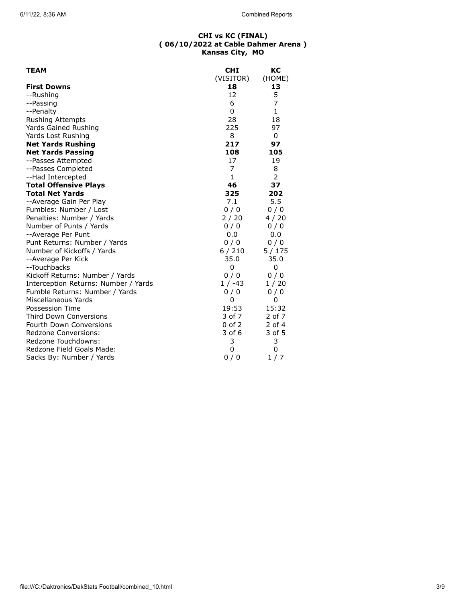| <b>TEAM</b>                          | <b>CHI</b>   | КC           |
|--------------------------------------|--------------|--------------|
|                                      | (VISITOR)    | (HOME)       |
| <b>First Downs</b>                   | 18           | 13           |
| --Rushing                            | 12           | 5            |
| --Passing                            | 6            | 7            |
| --Penalty                            | 0            | $\mathbf{1}$ |
| Rushing Attempts                     | 28           | 18           |
| Yards Gained Rushing                 | 225          | 97           |
| Yards Lost Rushing                   | 8            | 0            |
| <b>Net Yards Rushing</b>             | 217          | 97           |
| <b>Net Yards Passing</b>             | 108          | 105          |
| --Passes Attempted                   | 17           | 19           |
| --Passes Completed                   | 7            | 8            |
| --Had Intercepted                    | $\mathbf{1}$ | 2            |
| <b>Total Offensive Plays</b>         | 46           | 37           |
| <b>Total Net Yards</b>               | 325          | 202          |
| --Average Gain Per Play              | 7.1          | 5.5          |
| Fumbles: Number / Lost               | 0/0          | 0/0          |
| Penalties: Number / Yards            | 2/20         | 4/20         |
| Number of Punts / Yards              | 0/0          | 0/0          |
| --Average Per Punt                   | 0.0          | 0.0          |
| Punt Returns: Number / Yards         | 0/0          | 0/0          |
| Number of Kickoffs / Yards           | 6/210        | 5 / 175      |
| --Average Per Kick                   | 35.0         | 35.0         |
| --Touchbacks                         | 0            | 0            |
| Kickoff Returns: Number / Yards      | 0/0          | 0/0          |
| Interception Returns: Number / Yards | $1 / -43$    | 1/20         |
| Fumble Returns: Number / Yards       | 0/0          | 0/0          |
| Miscellaneous Yards                  | 0            | 0            |
| Possession Time                      | 19:53        | 15:32        |
| <b>Third Down Conversions</b>        | 3 of 7       | 2 of 7       |
| <b>Fourth Down Conversions</b>       | $0$ of $2$   | 2 of 4       |
| Redzone Conversions:                 | 3 of 6       | 3 of 5       |
| Redzone Touchdowns:                  | 3            | 3            |
| Redzone Field Goals Made:            | 0            | 0            |
| Sacks By: Number / Yards             | 0/0          | 1/7          |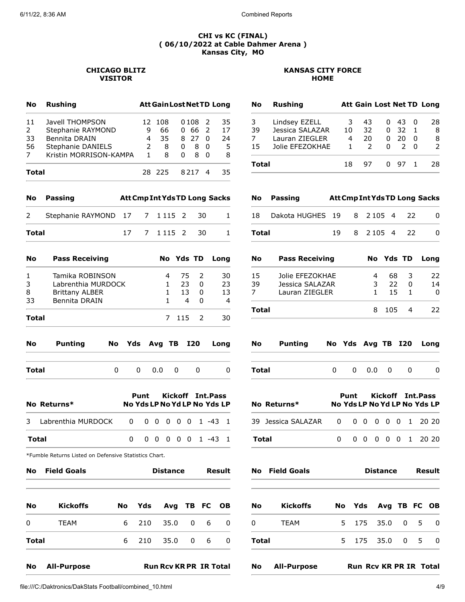## **CHICAGO BLITZ KANSAS CITY FORCE VISITOR HOME**

| No    | <b>Rushing</b>         |   | <b>Att Gain Lost Net TD Long</b> |          |        |               |     |
|-------|------------------------|---|----------------------------------|----------|--------|---------------|-----|
| 11    | Javell THOMPSON        |   | 12 108                           |          | 0108 2 |               | 35  |
| 2     | Stephanie RAYMOND      | q | 66                               | $\Omega$ | -66    | $\mathcal{L}$ | 17  |
| 33    | Bennita DRAIN          | 4 | 35                               |          | 8 27   | <sup>0</sup>  | 24  |
| 56    | Stephanie DANIELS      | 2 | 8                                | 0        | 8      | <sup>0</sup>  | - 5 |
| 7     | Kristin MORRISON-KAMPA | 1 | 8                                | U        | 8      | <sup>0</sup>  | 8   |
| Total |                        |   | 28 225                           |          | 8217   |               | 35  |

| <b>No</b>    | <b>Rushing</b>  |    |    |              |               |              | <b>Att Gain Lost Net TD Long</b> |
|--------------|-----------------|----|----|--------------|---------------|--------------|----------------------------------|
| 3            | Lindsey EZELL   | 3  | 43 |              | 0 43          | - 0          | 28                               |
| 39           | Jessica SALAZAR | 10 | 32 |              | 0.32          | -1           | -8                               |
| 7            | Lauran ZIEGLER  | 4  | 20 | 0            | 20            | 0            | 8                                |
| 15           | Jolie EFEZOKHAE |    |    | <sup>0</sup> | $\mathcal{P}$ | 0            | $\mathcal{P}$                    |
| <b>Total</b> |                 | 18 | 97 |              | 0. 97         | $\mathbf{1}$ | 28                               |

| <b>No</b> | Passing                |     |             |              |           |               | <b>Att Cmp Int Yds TD Long Sacks</b> |
|-----------|------------------------|-----|-------------|--------------|-----------|---------------|--------------------------------------|
| 2         | Stephanie RAYMOND 17 7 |     |             | 1 1 1 5 2    |           | 30            | 1                                    |
| Total     |                        | 17  | $7^{\circ}$ | 1 1 1 5 2    |           | 30            | 1                                    |
| No        | <b>Pass Receiving</b>  |     |             |              | No Yds TD |               | Long                                 |
| 1         | Tamika ROBINSON        |     |             | 4            | 75        | 2             | 30                                   |
| 3         | Labrenthia MURDOCK     |     |             | 1            | 23        | 0             | 23                                   |
| 8         | <b>Brittany ALBER</b>  |     |             | $\mathbf{1}$ | $13 -$    | 0             | 13                                   |
| 33        | Bennita DRAIN          |     |             | 1            | 4         | 0             | $\overline{a}$                       |
| Total     |                        |     |             | $7^{\circ}$  | 115       | $\mathcal{P}$ | 30                                   |
| No        | Punting<br>No          | Yds |             | TB.<br>Avg   |           | I20           | Lona                                 |

**Total** 0 0 0.0 0 0 0

**No Returns\* No Yds LP No YdLP No Yds LP**

3 Labrenthia MURDOCK 0 0 0 0 0 0 1 -43 1

**Total** 0 0 0 0 0 0 1 -43 1

**Punt Kickoff Int.Pass**

| No           | Passing               |    |   |           |                 |      | <b>Att Cmp Int Yds TD Long Sacks</b> |
|--------------|-----------------------|----|---|-----------|-----------------|------|--------------------------------------|
| 18           | Dakota HUGHES 19      |    | 8 | 2 1 0 5 4 |                 | 22   | O                                    |
| Total        |                       | 19 | 8 | 2 1 0 5 4 |                 | $22$ | O                                    |
| No           | <b>Pass Receiving</b> |    |   |           | No Yds TD       |      | Lona                                 |
| 15           | Jolie EFEZOKHAE       |    |   | 4         | 68              | 3    | 22                                   |
| 39           | Jessica SALAZAR       |    |   | 3         | 22 <sub>1</sub> | 0    | 14                                   |
| 7            | Lauran ZIEGLER        |    |   | 1         | 15              | 1    | <sup>0</sup>                         |
| <b>Total</b> |                       |    |   | 8         | 105             | 4    | 22                                   |

| <b>No</b> | <b>Punting</b> |    |              |   |   | No Yds Avg TB I20 Long |
|-----------|----------------|----|--------------|---|---|------------------------|
| Total     |                | n. | $0\quad 0.0$ | 0 | O |                        |

|       | No Returns* | Punt Kickoff Int. Pass<br>No Yds LP No Yd LP No Yds LP |  |  |  |  |
|-------|-------------|--------------------------------------------------------|--|--|--|--|
|       |             |                                                        |  |  |  |  |
| Total |             | 0 0 0 0 0 0 1 20 20                                    |  |  |  |  |

|              | <b>No</b> Field Goals | <b>Distance</b> | Result              |  |                |     |
|--------------|-----------------------|-----------------|---------------------|--|----------------|-----|
| <b>No</b>    | <b>Kickoffs</b>       |                 | No Yds Avg TB FC OB |  |                |     |
| 0            | <b>TEAM</b>           |                 | 5 175 35.0 0 5      |  |                | - 0 |
| <b>Total</b> |                       |                 | 5 175 35.0          |  | 0 <sub>5</sub> | n   |
|              |                       |                 |                     |  |                |     |

\*Fumble Returns Listed on Defensive Statistics Chart.

|              | <b>No</b> Field Goals |  | <b>Distance</b>     |            | Result |  | <b>No</b> Field Goals |                         |          | <b>Distance</b> |                     | Result |  |  |
|--------------|-----------------------|--|---------------------|------------|--------|--|-----------------------|-------------------------|----------|-----------------|---------------------|--------|--|--|
| <b>No</b>    | Kickoffs              |  | No Yds Avg TB FC OB |            |        |  |                       | <b>No</b>               | Kickoffs |                 | No Yds Avg TB FC OB |        |  |  |
| $\mathbf 0$  | TEAM                  |  | 6 210 35.0 0 6 0    |            |        |  |                       | $\overline{\mathbf{0}}$ | TEAM     |                 | 5 175 35.0 0 5 0    |        |  |  |
| <b>Total</b> |                       |  | 6 210               | 35.0 0 6 0 |        |  |                       | Total                   |          |                 | 5 175 35.0 0 5 0    |        |  |  |
|              |                       |  |                     |            |        |  |                       |                         |          |                 |                     |        |  |  |

**No All-Purpose Run Rcv KR PR IR Total No All-Purpose Run Rcv KR PR IR Total**

file:///C:/Daktronics/DakStats Football/combined\_10.html 4/9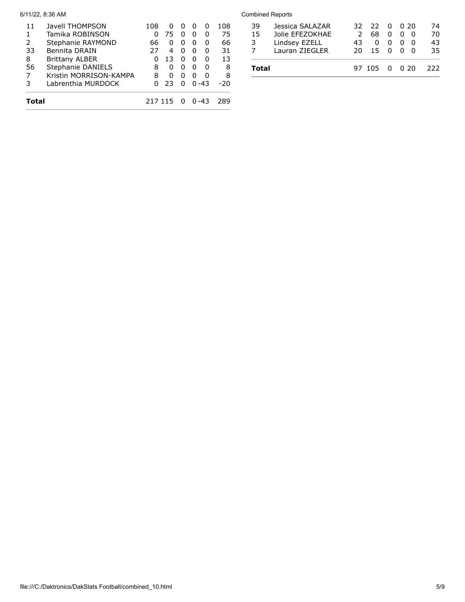| Total |                        | 217 115 |              |   |   | በ -43 | 289 |
|-------|------------------------|---------|--------------|---|---|-------|-----|
| 3     | Labrenthia MURDOCK     |         | 23           | n |   | በ -43 | -20 |
|       | Kristin MORRISON-KAMPA | 8       | O            | O | O | O     | 8   |
| 56    | Stephanie DANIELS      | 8       | 0            | O | ŋ | U     | 8   |
| 8     | <b>Brittany ALBER</b>  | 0       | 13           | O | O | O     | 13  |
| 33    | Bennita DRAIN          | 27      | 4            | n | ŋ | n     | 31  |
| 2     | Stephanie RAYMOND      | 66      | $\mathbf{0}$ |   | O | O     | 66  |
| 1     | Tamika ROBINSON        | O       | 75           |   |   |       | 75  |
| 11    | Javell THOMPSON        | 108     | 0            |   |   | O     | 108 |

## 6/11/22, 8:36 AM Combined Reports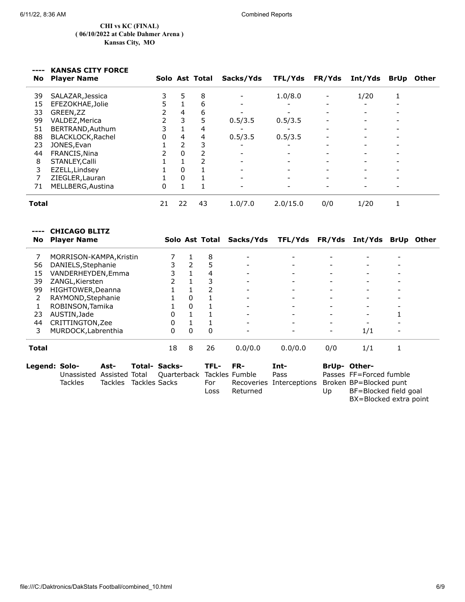$\overline{a}$ 

 $\mathcal{L}$ 

J.

### **CHI vs KC (FINAL) ( 06/10/2022 at Cable Dahmer Arena ) Kansas City, MO**

# **---- KANSAS CITY FORCE**

|       | <b>No</b> Player Name |    |              | Solo Ast Total | Sacks/Yds | <b>TFL/Yds</b> | <b>FR/Yds</b> | Int/Yds | BrUp Other |
|-------|-----------------------|----|--------------|----------------|-----------|----------------|---------------|---------|------------|
| 39    | SALAZAR, Jessica      |    | 5            | 8              |           | 1.0/8.0        |               | 1/20    |            |
| 15    | EFEZOKHAE, Jolie      | 5  |              | 6              |           |                | -             |         |            |
| 33    | GREEN, ZZ             | 2  | 4            | 6              |           |                |               |         |            |
| 99    | VALDEZ, Merica        | 2  | 3            | 5              | 0.5/3.5   | 0.5/3.5        |               |         |            |
| 51    | BERTRAND, Authum      | 3  |              | 4              |           |                |               |         |            |
| 88    | BLACKLOCK, Rachel     | 0  | 4            | 4              | 0.5/3.5   | 0.5/3.5        |               |         |            |
| 23    | JONES, Evan           |    | 2            |                |           |                |               |         |            |
| 44    | FRANCIS, Nina         |    | $\Omega$     |                |           |                |               |         |            |
| 8     | STANLEY, Calli        |    |              |                |           |                |               |         |            |
| 3     | EZELL, Lindsey        |    | $\mathbf{0}$ |                |           |                |               |         |            |
|       | ZIEGLER, Lauran       |    | $\mathbf{0}$ |                |           |                |               |         |            |
| 71    | MELLBERG, Austina     | 0  | $\mathbf{1}$ |                |           |                |               |         |            |
| Total |                       | 21 | 22           | 43             | 1.0/7.0   | 2.0/15.0       | 0/0           | 1/20    |            |

| No    | <b>CHICAGO BLITZ</b><br><b>Player Name</b> |          |               |                      |                | Solo Ast Total | Sacks/Yds      | TFL/Yds FR/Yds Int/Yds BrUp Other |     |                          |   |  |
|-------|--------------------------------------------|----------|---------------|----------------------|----------------|----------------|----------------|-----------------------------------|-----|--------------------------|---|--|
| 7     | MORRISON-KAMPA, Kristin                    |          |               |                      |                | 8              |                |                                   |     |                          |   |  |
| 56    | DANIELS, Stephanie                         |          |               | 3                    | $\overline{2}$ | 5              |                |                                   |     |                          |   |  |
| 15    | VANDERHEYDEN, Emma                         |          |               |                      |                | 4              |                |                                   |     |                          |   |  |
| 39    | ZANGL, Kiersten                            |          |               |                      |                | 3              |                |                                   |     | $\overline{\phantom{a}}$ |   |  |
| 99    | HIGHTOWER, Deanna                          |          |               |                      |                | 2              |                |                                   |     | $\overline{\phantom{a}}$ | - |  |
| 2     | RAYMOND, Stephanie                         |          |               |                      | 0              |                |                |                                   |     |                          |   |  |
| 1     | ROBINSON, Tamika                           |          |               |                      | 0              |                |                |                                   |     |                          |   |  |
| 23    | AUSTIN, Jade                               |          |               | $\Omega$             |                |                |                |                                   |     |                          |   |  |
| 44    | CRITTINGTON, Zee                           |          |               | 0                    |                |                |                |                                   |     |                          |   |  |
| 3     | MURDOCK, Labrenthia                        |          |               | 0                    | $\mathbf{0}$   | 0              |                |                                   |     | 1/1                      |   |  |
| Total |                                            |          |               | 18                   | 8              | 26             | 0.0/0.0        | 0.0/0.0                           | 0/0 | 1/1                      |   |  |
|       | Legend: Solo-<br>Ast-                      |          |               | <b>Total- Sacks-</b> |                | TFL-           | FR-            | Int-                              |     | <b>BrUp- Other-</b>      |   |  |
|       | Unassisted                                 | Assisted | Total         | Quarterback          |                |                | Tackles Fumble | Pass                              |     | Passes FF=Forced fumble  |   |  |
|       | <b>Tackles</b>                             | Tackles  | Tackles Sacks |                      |                | For            |                | Recoveries Interceptions          |     | Broken BP=Blocked punt   |   |  |
|       |                                            |          |               |                      |                | Loss           | Returned       |                                   | Up  | BF=Blocked field goal    |   |  |

BX=Blocked extra point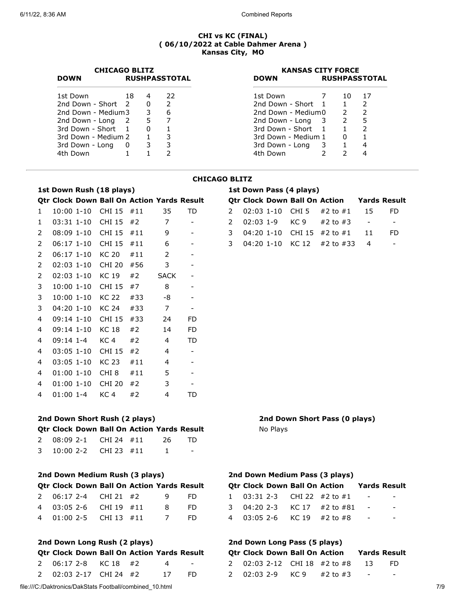| <b>CHICAGO BLITZ</b> |                      |          |               | <b>KANSAS CITY FORCE</b> |                      |               |    |  |
|----------------------|----------------------|----------|---------------|--------------------------|----------------------|---------------|----|--|
| <b>DOWN</b>          | <b>RUSHPASSTOTAL</b> |          |               | <b>DOWN</b>              | <b>RUSHPASSTOTAL</b> |               |    |  |
| 1st Down             | - 18                 | 4        | 22            | 1st Down                 |                      | 10.           | 17 |  |
| 2nd Down - Short 2   |                      | $\Omega$ | $\mathcal{P}$ | 2nd Down - Short 1       |                      |               |    |  |
| 2nd Down - Medium3   |                      | 3        | 6             | 2nd Down - Medium0       |                      | $\mathcal{L}$ |    |  |
| 2nd Down - Long 2    |                      | 5        |               | 2nd Down - Long 3        |                      | $\mathcal{P}$ | 5  |  |
| 3rd Down - Short 1   |                      | $\Omega$ |               | 3rd Down - Short 1       |                      |               |    |  |
| 3rd Down - Medium 2  |                      |          | 3             | 3rd Down - Medium 1      |                      | 0             |    |  |
| 3rd Down - Long      | 0                    | 3        | 3             | 3rd Down - Long 3        |                      |               | 4  |  |
| 4th Down             |                      |          |               | 4th Down                 |                      |               | 4  |  |

# **1st Down Rush (18 plays)**

## **CHICAGO BLITZ**

|                |                | 1st Down Rush (18 plays)                          |     |                |                          | 1st Down Pass (4 plays) |              |          |                                      |                               |                          |                          |
|----------------|----------------|---------------------------------------------------|-----|----------------|--------------------------|-------------------------|--------------|----------|--------------------------------------|-------------------------------|--------------------------|--------------------------|
|                |                | Qtr Clock Down Ball On Action Yards Result        |     |                |                          |                         |              |          | <b>Qtr Clock Down Ball On Action</b> |                               |                          | <b>Yards Result</b>      |
| $\mathbf{1}$   | $10:00$ $1-10$ | CHI 15 #11                                        |     | 35             | TD                       | $\mathcal{P}$           | $02:03$ 1-10 |          | CHI <sub>5</sub>                     | #2 to $#1$                    | 15                       | FD.                      |
| 1              | $03:31$ 1-10   | CHI 15                                            | #2  | 7              | $\overline{\phantom{a}}$ | $\overline{2}$          | $02:03$ 1-9  |          | KC 9                                 | #2 to $#3$                    | $\overline{\phantom{a}}$ | $\overline{\phantom{a}}$ |
| $\overline{2}$ | $08:09$ 1-10   | <b>CHI 15</b>                                     | #11 | 9              | $\overline{\phantom{a}}$ | 3                       | 04:20 1-10   |          | <b>CHI 15</b>                        | #2 to $#1$                    | 11                       | FD.                      |
| $\overline{2}$ | $06:17$ 1-10   | <b>CHI 15</b>                                     | #11 | 6              | -                        | 3                       | 04:20 1-10   |          | KC 12                                | #2 to #33                     | 4                        | $\overline{\phantom{a}}$ |
| $\overline{2}$ | $06:17$ 1-10   | <b>KC 20</b>                                      | #11 | $\overline{2}$ | $\overline{\phantom{a}}$ |                         |              |          |                                      |                               |                          |                          |
| $\overline{2}$ | $02:03$ 1-10   | <b>CHI 20</b>                                     | #56 | 3              | $\overline{\phantom{a}}$ |                         |              |          |                                      |                               |                          |                          |
| $\overline{2}$ | $02:03$ 1-10   | <b>KC 19</b>                                      | #2  | <b>SACK</b>    | $\overline{\phantom{a}}$ |                         |              |          |                                      |                               |                          |                          |
| 3              | $10:00$ 1-10   | <b>CHI 15</b>                                     | #7  | 8              | $\overline{\phantom{0}}$ |                         |              |          |                                      |                               |                          |                          |
| $\overline{3}$ | $10:00$ $1-10$ | <b>KC 22</b>                                      | #33 | -8             | -                        |                         |              |          |                                      |                               |                          |                          |
| 3              | $04:20$ 1-10   | <b>KC 24</b>                                      | #33 | $\overline{7}$ | $\overline{\phantom{a}}$ |                         |              |          |                                      |                               |                          |                          |
| 4              | $09:14$ 1-10   | <b>CHI 15</b>                                     | #33 | 24             | FD.                      |                         |              |          |                                      |                               |                          |                          |
| $\overline{4}$ | $09:14$ 1-10   | <b>KC 18</b>                                      | #2  | 14             | <b>FD</b>                |                         |              |          |                                      |                               |                          |                          |
| 4              | 09:14 1-4      | KC <sub>4</sub>                                   | #2  | 4              | TD                       |                         |              |          |                                      |                               |                          |                          |
| $\overline{4}$ | $03:05$ 1-10   | <b>CHI 15</b>                                     | #2  | 4              | $\overline{\phantom{a}}$ |                         |              |          |                                      |                               |                          |                          |
| 4              | $03:05$ 1-10   | <b>KC 23</b>                                      | #11 | 4              | $\overline{\phantom{a}}$ |                         |              |          |                                      |                               |                          |                          |
| 4              | $01:00$ 1-10   | CHI <sub>8</sub>                                  | #11 | 5              | $\overline{\phantom{a}}$ |                         |              |          |                                      |                               |                          |                          |
| 4              | $01:00$ 1-10   | <b>CHI 20</b>                                     | #2  | 3              | $\overline{\phantom{a}}$ |                         |              |          |                                      |                               |                          |                          |
| 4              | $01:00$ 1-4    | KC <sub>4</sub>                                   | #2  | 4              | TD                       |                         |              |          |                                      |                               |                          |                          |
|                |                |                                                   |     |                |                          |                         |              |          |                                      |                               |                          |                          |
|                |                | 2nd Down Short Rush (2 plays)                     |     |                |                          |                         |              |          |                                      | 2nd Down Short Pass (0 plays) |                          |                          |
|                |                | <b>Qtr Clock Down Ball On Action Yards Result</b> |     |                |                          |                         |              | No Plays |                                      |                               |                          |                          |

#### No Plays

| <b>Otr Clock Down Ball On Action Yards Result</b> |  |  |  |                          |  |  |  |  |  |  |  |
|---------------------------------------------------|--|--|--|--------------------------|--|--|--|--|--|--|--|
| 2nd Down Medium Rush (3 plays)                    |  |  |  |                          |  |  |  |  |  |  |  |
| 3 10:00 2-2 CHI 23 $\#11$                         |  |  |  | $\overline{\phantom{0}}$ |  |  |  |  |  |  |  |

2 08:09 2-1 CHI 24 #11 26 TD

|  |  | <b>ULI CIUCK DOWII DAII UII ACLIUII TATUS RESUI</b> |  |
|--|--|-----------------------------------------------------|--|
|  |  | 2 06:17 2-4 CHI 21 #2 9 FD                          |  |
|  |  | 4 03:05 2-6 CHI 19 #11 8 FD                         |  |
|  |  | 4 01:00 2-5 CHI 13 #11 7 FD                         |  |

# **2nd Down Long Rush (2 plays)**

|  | Otr Clock Down Ball On Action Yards Result |          |                        |
|--|--------------------------------------------|----------|------------------------|
|  | 2 06:17 2-8 KC 18 #2                       | $\sim$ 4 | $\sim$ 100 $-$ 100 $-$ |
|  | 2  02:03 2-17 CHI 24 #2                    | 17 FD    |                        |

# **2nd Down Medium Pass (3 plays)**

|  |  | <b>Otr Clock Down Ball On Action Yards Result</b> |        |     |
|--|--|---------------------------------------------------|--------|-----|
|  |  | 1 03:31 2-3 CHI 22 $\#2$ to $\#1$ -               |        | $-$ |
|  |  | 3 04:20 2-3 KC 17 $\#$ 2 to $\#$ 81               | $\sim$ | -   |
|  |  | 4 03:05 2-6 KC 19 $\#$ 2 to $\#$ 8                |        | -   |

# **2nd Down Long Pass (5 plays)**

|  |  | Qtr Clock Down Ball On Action Yards Result                  |               |   |
|--|--|-------------------------------------------------------------|---------------|---|
|  |  | 2      02:03  2-12    CHI  18   #2 to #8       13        FD |               |   |
|  |  | 2      02:03  2-9       KC 9       #2 to #3                 | $\sim$ $\sim$ | - |

file:///C:/Daktronics/DakStats Football/combined\_10.html 7/9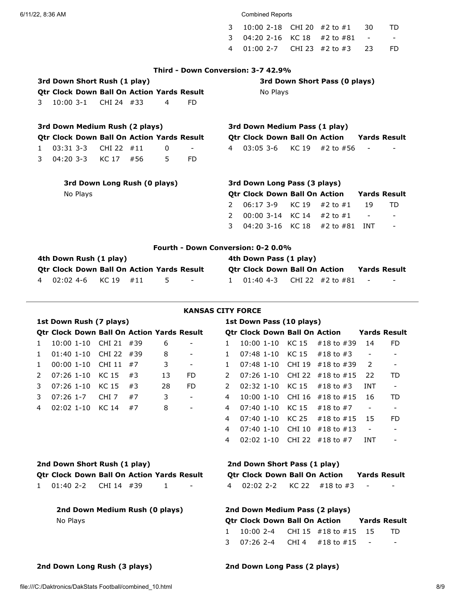## 6/11/22, 8:36 AM Combined Reports

| 3       04:20  2-16     KC 18      #2 to #81       -           -               - |  |  |
|----------------------------------------------------------------------------------|--|--|
|                                                                                  |  |  |

## **Third - Down Conversion: 3-7 42.9%**

|   |                                           |          | 3rd Down Short Rush (1 play)                      |     |   |     | 3rd Down Short Pass (0 plays) |             |          |                                      |                                    |              |                     |
|---|-------------------------------------------|----------|---------------------------------------------------|-----|---|-----|-------------------------------|-------------|----------|--------------------------------------|------------------------------------|--------------|---------------------|
|   |                                           |          | <b>Qtr Clock Down Ball On Action Yards Result</b> |     |   |     |                               |             | No Plays |                                      |                                    |              |                     |
| 3 | $10:00$ 3-1                               |          | CHI 24 #33                                        |     | 4 | FD. |                               |             |          |                                      |                                    |              |                     |
|   |                                           |          | 3rd Down Medium Rush (2 plays)                    |     |   |     |                               |             |          |                                      | 3rd Down Medium Pass (1 play)      |              |                     |
|   |                                           |          | <b>Qtr Clock Down Ball On Action Yards Result</b> |     |   |     |                               |             |          |                                      | Qtr Clock Down Ball On Action      | Yards Result |                     |
| 1 | $03:31$ 3-3                               |          | CHI 22                                            | #11 | 0 |     | 4                             | $03:05$ 3-6 |          | KC 19                                | #2 to #56                          |              |                     |
| 3 |                                           |          | 04:20 3-3 KC 17                                   | #56 | 5 | FD. |                               |             |          |                                      |                                    |              |                     |
|   | 3rd Down Long Rush (0 plays)              |          |                                                   |     |   |     |                               |             |          | 3rd Down Long Pass (3 plays)         |                                    |              |                     |
|   |                                           | No Plays |                                                   |     |   |     |                               |             |          | <b>Qtr Clock Down Ball On Action</b> |                                    |              | <b>Yards Result</b> |
|   |                                           |          |                                                   |     |   |     | $\mathcal{P}$                 | $06:17$ 3-9 |          | KC 19                                | #2 to $#1$                         | 19           | TD                  |
|   |                                           |          |                                                   |     |   |     | $\mathcal{P}$                 |             |          | 00:00 3-14 KC 14                     | #2 to $#1$                         |              |                     |
|   |                                           |          |                                                   |     |   |     | 3                             |             |          |                                      | 04:20 3-16 KC 18 $\#$ 2 to $\#$ 81 | INT          |                     |
|   | <b>Fourth - Down Conversion: 0-2 0.0%</b> |          |                                                   |     |   |     |                               |             |          |                                      |                                    |              |                     |
|   |                                           |          | 4th Down Rush (1 play)                            |     |   |     |                               |             |          | 4th Down Pass (1 play)               |                                    |              |                     |
|   |                                           |          |                                                   |     |   |     |                               |             |          |                                      |                                    |              |                     |

| Qtr Clock Down Ball On Action Yards Result |  |      | <b>Otr Clock Down Ball On Action</b>   |  | <b>Yards Result</b> |  |
|--------------------------------------------|--|------|----------------------------------------|--|---------------------|--|
| 4 02:02 4-6 KC 19 #11                      |  | $ -$ | 1 01:40 4-3 CHI 22 $\#$ 2 to $\#$ 81 - |  |                     |  |

### **KANSAS CITY FORCE**

| 1st Down Rush (7 plays) |                                |  |                                                   |     |    |                              |               | 1st Down Pass (10 plays)                                    |  |                                      |            |                          |                          |  |  |
|-------------------------|--------------------------------|--|---------------------------------------------------|-----|----|------------------------------|---------------|-------------------------------------------------------------|--|--------------------------------------|------------|--------------------------|--------------------------|--|--|
|                         |                                |  | <b>Otr Clock Down Ball On Action Yards Result</b> |     |    |                              |               |                                                             |  | <b>Otr Clock Down Ball On Action</b> |            |                          | <b>Yards Result</b>      |  |  |
| $\mathbf{1}$            | $10:00$ $1-10$                 |  | CHI 21                                            | #39 | 6  |                              | $\mathbf{1}$  | $10:00$ $1-10$                                              |  | KC 15                                | #18 to #39 | 14                       | FD.                      |  |  |
| $\mathbf{1}$            | $01:40$ 1-10                   |  | <b>CHI 22</b>                                     | #39 | 8  | -                            | 1.            | $07:48$ 1-10                                                |  | KC 15                                | #18 to #3  | $\overline{\phantom{a}}$ |                          |  |  |
| 1                       | $00:001-10$                    |  | <b>CHI 11</b>                                     | #7  | 3  | $\qquad \qquad \blacksquare$ | $\mathbf{1}$  | $07:48$ 1-10                                                |  | <b>CHI 19</b>                        | #18 to #39 | 2                        | $\overline{\phantom{a}}$ |  |  |
| 2                       | $07:26$ 1-10                   |  | KC 15                                             | #3  | 13 | FD.                          | $\mathcal{P}$ | $07:26$ 1-10                                                |  | <b>CHI 22</b>                        | #18 to #15 | 22                       | TD                       |  |  |
| 3                       | $07:26$ 1-10                   |  | <b>KC 15</b>                                      | #3  | 28 | FD.                          | $\mathcal{P}$ | $02:32$ 1-10                                                |  | <b>KC 15</b>                         | #18 to #3  | <b>INT</b>               | $\overline{\phantom{a}}$ |  |  |
| 3                       | $07:26$ 1-7                    |  | CHI <sub>7</sub>                                  | #7  | 3  | $\overline{\phantom{a}}$     | 4             | $10:00$ $1-10$                                              |  | <b>CHI 16</b>                        | #18 to #15 | 16                       | TD                       |  |  |
| 4                       | $02:02$ 1-10                   |  | <b>KC 14</b>                                      | #7  | 8  | $\overline{\phantom{a}}$     | 4             | $07:40$ 1-10                                                |  | KC 15                                | #18 to #7  | $\overline{\phantom{a}}$ | $\overline{\phantom{a}}$ |  |  |
|                         |                                |  |                                                   |     |    |                              | 4             | $07:40$ 1-10                                                |  | KC 25                                | #18 to #15 | 15                       | FD.                      |  |  |
|                         |                                |  |                                                   |     |    |                              | 4             | $07:40$ 1-10                                                |  | <b>CHI 10</b>                        | #18 to #13 | $\overline{\phantom{a}}$ | $\overline{\phantom{a}}$ |  |  |
|                         |                                |  |                                                   |     |    |                              | 4             | $02:02$ 1-10                                                |  | <b>CHI 22</b>                        | #18 to #7  | INT                      | $\overline{\phantom{a}}$ |  |  |
|                         |                                |  | 2nd Down Short Rush (1 play)                      |     |    |                              |               | 2nd Down Short Pass (1 play)                                |  |                                      |            |                          |                          |  |  |
|                         |                                |  | <b>Qtr Clock Down Ball On Action Yards Result</b> |     |    |                              |               |                                                             |  | <b>Qtr Clock Down Ball On Action</b> |            | <b>Yards Result</b>      |                          |  |  |
| 1.                      | $01:402--2$                    |  | CHI 14 #39                                        |     | 1  |                              | 4             | $02:02.2-2$                                                 |  | <b>KC 22</b>                         | #18 to #3  |                          |                          |  |  |
|                         | 2nd Down Medium Rush (0 plays) |  |                                                   |     |    |                              |               | 2nd Down Medium Pass (2 plays)                              |  |                                      |            |                          |                          |  |  |
| No Plays                |                                |  |                                                   |     |    |                              |               | <b>Otr Clock Down Ball On Action</b><br><b>Yards Result</b> |  |                                      |            |                          |                          |  |  |

|  |  |                                     |  | <b>Otr Clock Down Ball On Action Stards Result</b> |
|--|--|-------------------------------------|--|----------------------------------------------------|
|  |  | 1 10:00 2-4 CHI 15 #18 to #15 15 TD |  |                                                    |
|  |  | 3 07:26 2-4 CHI4 #18 to #15 -       |  | $\overline{\phantom{a}}$                           |

# **2nd Down Long Rush (3 plays) 2nd Down Long Pass (2 plays)**